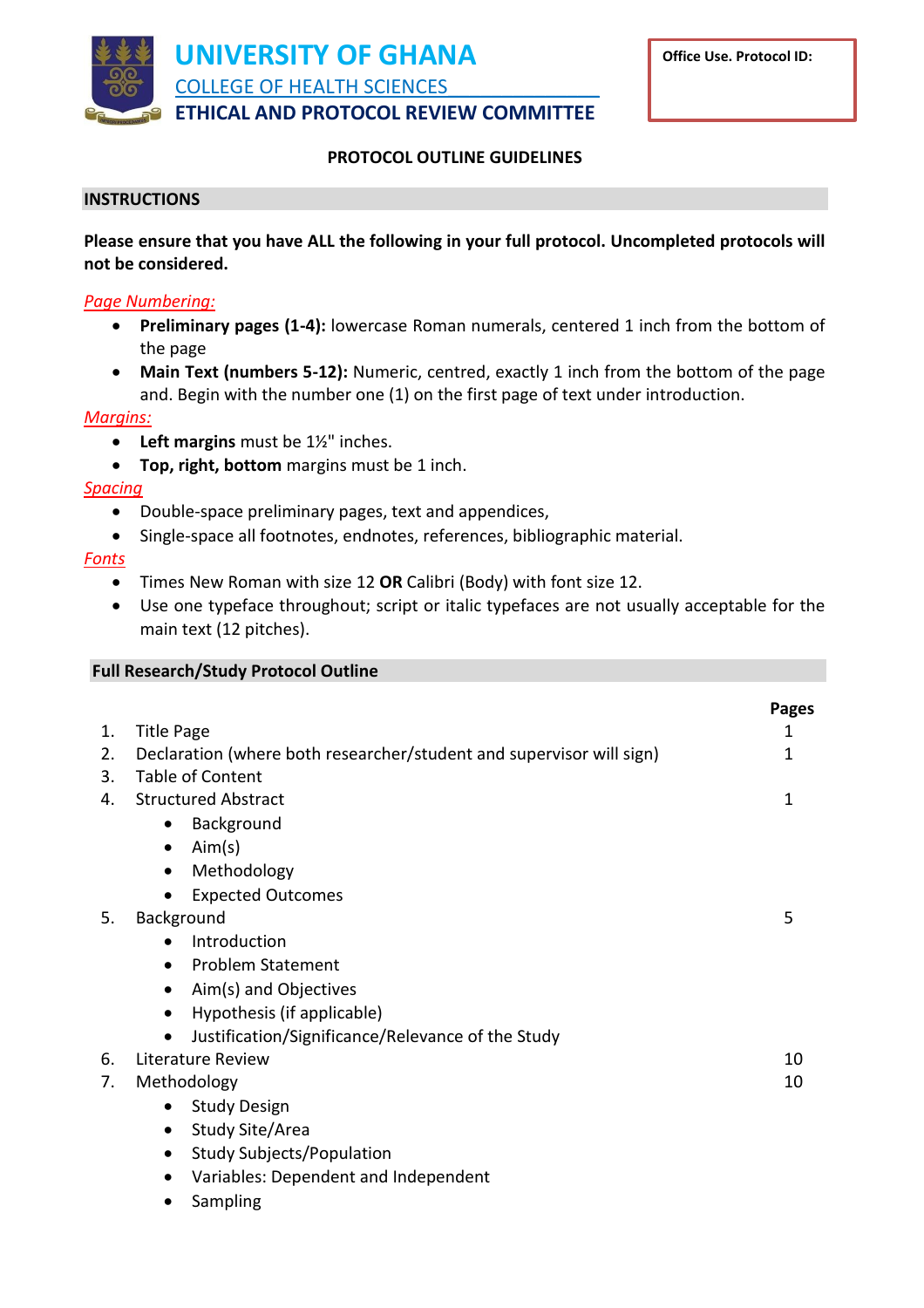

# **PROTOCOL OUTLINE GUIDELINES**

## **INSTRUCTIONS**

**Please ensure that you have ALL the following in your full protocol. Uncompleted protocols will not be considered.**

## *Page Numbering:*

- **Preliminary pages (1-4):** lowercase Roman numerals, centered 1 inch from the bottom of the page
- **Main Text (numbers 5-12):** Numeric, centred, exactly 1 inch from the bottom of the page and. Begin with the number one (1) on the first page of text under introduction.

#### *Margins:*

- **Left margins** must be 1½" inches.
- **Top, right, bottom** margins must be 1 inch.

#### *Spacing*

- Double-space preliminary pages, text and appendices,
- Single-space all footnotes, endnotes, references, bibliographic material.

# *Fonts*

- Times New Roman with size 12 **OR** Calibri (Body) with font size 12.
- Use one typeface throughout; script or italic typefaces are not usually acceptable for the main text (12 pitches).

# **Full Research/Study Protocol Outline**

|    |                                                                      | Pages |
|----|----------------------------------------------------------------------|-------|
| 1. | <b>Title Page</b>                                                    | 1     |
| 2. | Declaration (where both researcher/student and supervisor will sign) | 1     |
| 3. | <b>Table of Content</b>                                              |       |
| 4. | <b>Structured Abstract</b>                                           | 1     |
|    | Background<br>$\bullet$                                              |       |
|    | Aim(s)<br>$\bullet$                                                  |       |
|    | Methodology<br>$\bullet$                                             |       |
|    | <b>Expected Outcomes</b><br>$\bullet$                                |       |
| 5. | Background                                                           | 5     |
|    | Introduction<br>$\bullet$                                            |       |
|    | <b>Problem Statement</b><br>$\bullet$                                |       |
|    | Aim(s) and Objectives<br>$\bullet$                                   |       |
|    | Hypothesis (if applicable)<br>$\bullet$                              |       |
|    | Justification/Significance/Relevance of the Study<br>$\bullet$       |       |
| 6. | Literature Review                                                    | 10    |
| 7. | Methodology                                                          | 10    |
|    | <b>Study Design</b><br>$\bullet$                                     |       |
|    | Study Site/Area<br>$\bullet$                                         |       |
|    | <b>Study Subjects/Population</b>                                     |       |
|    | Ada shekarar 1992 - Shekarar ta tsaniya ta ta 1992 - Shekara         |       |

- Variables: Dependent and Independent
- Sampling